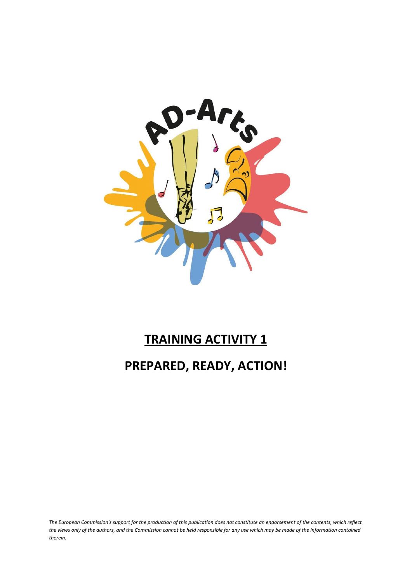

# **TRAINING ACTIVITY 1 PREPARED, READY, ACTION!**

*The European Commission's support for the production of this publication does not constitute an endorsement of the contents, which reflect the views only of the authors, and the Commission cannot be held responsible for any use which may be made of the information contained therein.*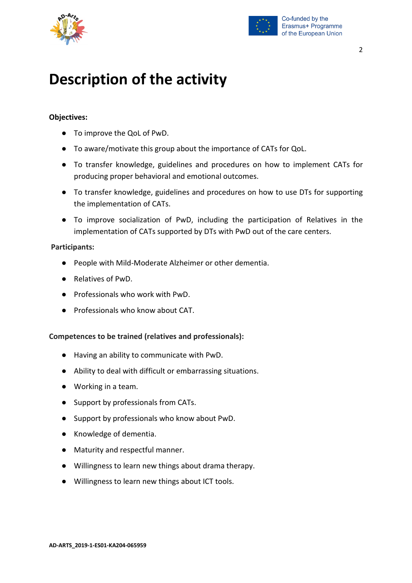



### **Description of the activity**

#### **Objectives:**

- To improve the QoL of PwD.
- To aware/motivate this group about the importance of CATs for QoL.
- To transfer knowledge, guidelines and procedures on how to implement CATs for producing proper behavioral and emotional outcomes.
- To transfer knowledge, guidelines and procedures on how to use DTs for supporting the implementation of CATs.
- To improve socialization of PwD, including the participation of Relatives in the implementation of CATs supported by DTs with PwD out of the care centers.

#### **Participants:**

- People with Mild-Moderate Alzheimer or other dementia.
- Relatives of PwD.
- Professionals who work with PwD.
- Professionals who know about CAT.

#### **Competences to be trained (relatives and professionals):**

- Having an ability to communicate with PwD.
- Ability to deal with difficult or embarrassing situations.
- Working in a team.
- Support by professionals from CATs.
- Support by professionals who know about PwD.
- Knowledge of dementia.
- Maturity and respectful manner.
- Willingness to learn new things about drama therapy.
- Willingness to learn new things about ICT tools.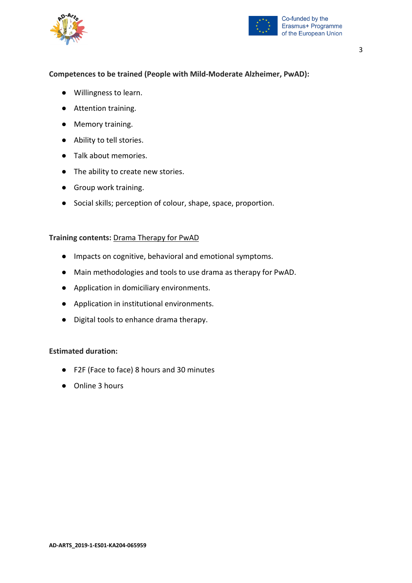



#### **Competences to be trained (People with Mild-Moderate Alzheimer, PwAD):**

- Willingness to learn.
- Attention training.
- Memory training.
- Ability to tell stories.
- Talk about memories.
- The ability to create new stories.
- Group work training.
- Social skills; perception of colour, shape, space, proportion.

#### **Training contents:** Drama Therapy for PwAD

- Impacts on cognitive, behavioral and emotional symptoms.
- Main methodologies and tools to use drama as therapy for PwAD.
- Application in domiciliary environments.
- Application in institutional environments.
- Digital tools to enhance drama therapy.

#### **Estimated duration:**

- F2F (Face to face) 8 hours and 30 minutes
- Online 3 hours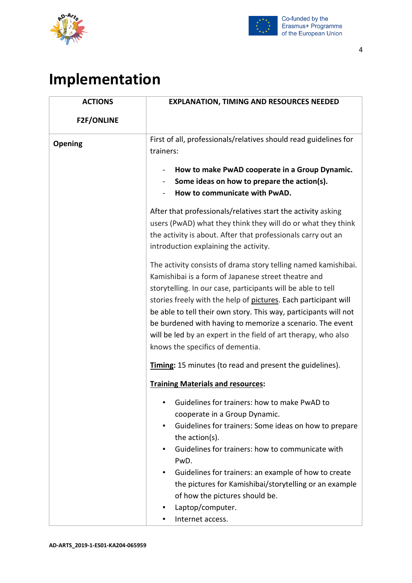



## **Implementation**

| <b>ACTIONS</b>    | <b>EXPLANATION, TIMING AND RESOURCES NEEDED</b>                                                                                                                                                                                                                                                                                                                                                                                                                                                 |
|-------------------|-------------------------------------------------------------------------------------------------------------------------------------------------------------------------------------------------------------------------------------------------------------------------------------------------------------------------------------------------------------------------------------------------------------------------------------------------------------------------------------------------|
| <b>F2F/ONLINE</b> |                                                                                                                                                                                                                                                                                                                                                                                                                                                                                                 |
| <b>Opening</b>    | First of all, professionals/relatives should read guidelines for<br>trainers:                                                                                                                                                                                                                                                                                                                                                                                                                   |
|                   | How to make PwAD cooperate in a Group Dynamic.<br>Some ideas on how to prepare the action(s).<br>How to communicate with PwAD.                                                                                                                                                                                                                                                                                                                                                                  |
|                   | After that professionals/relatives start the activity asking<br>users (PwAD) what they think they will do or what they think<br>the activity is about. After that professionals carry out an<br>introduction explaining the activity.                                                                                                                                                                                                                                                           |
|                   | The activity consists of drama story telling named kamishibai.<br>Kamishibai is a form of Japanese street theatre and<br>storytelling. In our case, participants will be able to tell<br>stories freely with the help of pictures. Each participant will<br>be able to tell their own story. This way, participants will not<br>be burdened with having to memorize a scenario. The event<br>will be led by an expert in the field of art therapy, who also<br>knows the specifics of dementia. |
|                   | Timing: 15 minutes (to read and present the guidelines).<br><b>Training Materials and resources:</b>                                                                                                                                                                                                                                                                                                                                                                                            |
|                   | Guidelines for trainers: how to make PwAD to<br>cooperate in a Group Dynamic.<br>Guidelines for trainers: Some ideas on how to prepare<br>٠<br>the action(s).<br>Guidelines for trainers: how to communicate with<br>PwD.<br>Guidelines for trainers: an example of how to create<br>the pictures for Kamishibai/storytelling or an example<br>of how the pictures should be.<br>Laptop/computer.<br>Internet access.                                                                           |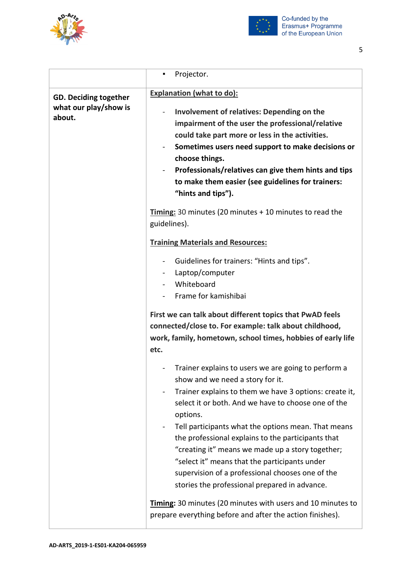



|                                                                 | Projector.                                                                                                                                                                                                                                                                                                                                                                                                                                                                                                                                                                                                                                                              |
|-----------------------------------------------------------------|-------------------------------------------------------------------------------------------------------------------------------------------------------------------------------------------------------------------------------------------------------------------------------------------------------------------------------------------------------------------------------------------------------------------------------------------------------------------------------------------------------------------------------------------------------------------------------------------------------------------------------------------------------------------------|
| <b>GD. Deciding together</b><br>what our play/show is<br>about. | <b>Explanation (what to do):</b><br>Involvement of relatives: Depending on the<br>impairment of the user the professional/relative<br>could take part more or less in the activities.<br>Sometimes users need support to make decisions or<br>choose things.<br>Professionals/relatives can give them hints and tips<br>to make them easier (see guidelines for trainers:<br>"hints and tips").<br>Timing: 30 minutes (20 minutes + 10 minutes to read the                                                                                                                                                                                                              |
|                                                                 | guidelines).<br><b>Training Materials and Resources:</b><br>Guidelines for trainers: "Hints and tips".<br>Laptop/computer<br>Whiteboard<br>Frame for kamishibai<br>First we can talk about different topics that PwAD feels<br>connected/close to. For example: talk about childhood,<br>work, family, hometown, school times, hobbies of early life<br>etc.                                                                                                                                                                                                                                                                                                            |
|                                                                 | Trainer explains to users we are going to perform a<br>show and we need a story for it.<br>Trainer explains to them we have 3 options: create it,<br>select it or both. And we have to choose one of the<br>options.<br>Tell participants what the options mean. That means<br>the professional explains to the participants that<br>"creating it" means we made up a story together;<br>"select it" means that the participants under<br>supervision of a professional chooses one of the<br>stories the professional prepared in advance.<br>Timing: 30 minutes (20 minutes with users and 10 minutes to<br>prepare everything before and after the action finishes). |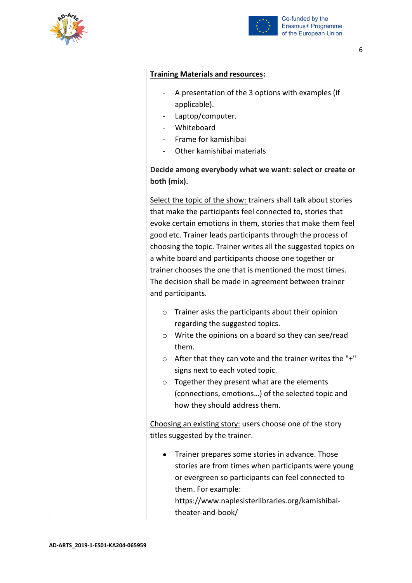



| <b>Training Materials and resources:</b>                                                                                                                                                                                                                                                                                                                                                                                                                                                                                            |
|-------------------------------------------------------------------------------------------------------------------------------------------------------------------------------------------------------------------------------------------------------------------------------------------------------------------------------------------------------------------------------------------------------------------------------------------------------------------------------------------------------------------------------------|
| A presentation of the 3 options with examples (if<br>applicable).<br>Laptop/computer.<br>Whiteboard<br>Frame for kamishibai<br>Other kamishibai materials                                                                                                                                                                                                                                                                                                                                                                           |
| Decide among everybody what we want: select or create or<br>both (mix).                                                                                                                                                                                                                                                                                                                                                                                                                                                             |
| Select the topic of the show: trainers shall talk about stories<br>that make the participants feel connected to, stories that<br>evoke certain emotions in them, stories that make them feel<br>good etc. Trainer leads participants through the process of<br>choosing the topic. Trainer writes all the suggested topics on<br>a white board and participants choose one together or<br>trainer chooses the one that is mentioned the most times.<br>The decision shall be made in agreement between trainer<br>and participants. |
| Trainer asks the participants about their opinion<br>$\circ$<br>regarding the suggested topics.<br>Write the opinions on a board so they can see/read<br>O<br>them.<br>After that they can vote and the trainer writes the "+"<br>O<br>signs next to each voted topic.<br>Together they present what are the elements<br>$\circ$<br>(connections, emotions) of the selected topic and<br>how they should address them.                                                                                                              |
| Choosing an existing story: users choose one of the story<br>titles suggested by the trainer.                                                                                                                                                                                                                                                                                                                                                                                                                                       |
| Trainer prepares some stories in advance. Those<br>$\bullet$<br>stories are from times when participants were young<br>or evergreen so participants can feel connected to<br>them. For example:<br>https://www.naplesisterlibraries.org/kamishibai-<br>theater-and-book/                                                                                                                                                                                                                                                            |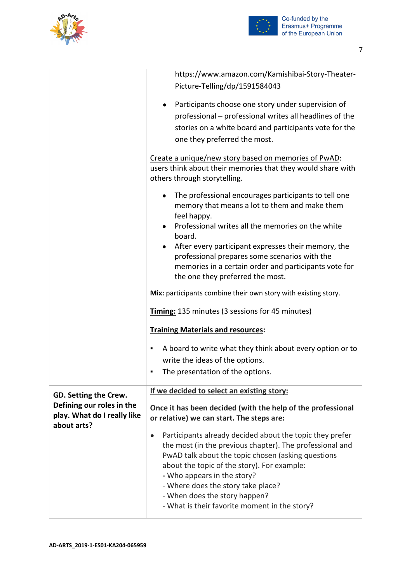



|                                                                         | https://www.amazon.com/Kamishibai-Story-Theater-<br>Picture-Telling/dp/1591584043                                                                                                                                                                                                                                                                                                             |
|-------------------------------------------------------------------------|-----------------------------------------------------------------------------------------------------------------------------------------------------------------------------------------------------------------------------------------------------------------------------------------------------------------------------------------------------------------------------------------------|
|                                                                         | Participants choose one story under supervision of<br>professional – professional writes all headlines of the<br>stories on a white board and participants vote for the<br>one they preferred the most.                                                                                                                                                                                       |
|                                                                         | Create a unique/new story based on memories of PwAD:<br>users think about their memories that they would share with<br>others through storytelling.                                                                                                                                                                                                                                           |
|                                                                         | The professional encourages participants to tell one<br>memory that means a lot to them and make them<br>feel happy.<br>Professional writes all the memories on the white<br>board.<br>After every participant expresses their memory, the                                                                                                                                                    |
|                                                                         | professional prepares some scenarios with the<br>memories in a certain order and participants vote for<br>the one they preferred the most.                                                                                                                                                                                                                                                    |
|                                                                         | Mix: participants combine their own story with existing story.                                                                                                                                                                                                                                                                                                                                |
|                                                                         | Timing: 135 minutes (3 sessions for 45 minutes)                                                                                                                                                                                                                                                                                                                                               |
|                                                                         | <b>Training Materials and resources:</b>                                                                                                                                                                                                                                                                                                                                                      |
|                                                                         | A board to write what they think about every option or to<br>٠<br>write the ideas of the options.<br>The presentation of the options.<br>٠                                                                                                                                                                                                                                                    |
| GD. Setting the Crew.                                                   | If we decided to select an existing story:                                                                                                                                                                                                                                                                                                                                                    |
| Defining our roles in the<br>play. What do I really like<br>about arts? | Once it has been decided (with the help of the professional<br>or relative) we can start. The steps are:                                                                                                                                                                                                                                                                                      |
|                                                                         | Participants already decided about the topic they prefer<br>$\bullet$<br>the most (in the previous chapter). The professional and<br>PwAD talk about the topic chosen (asking questions<br>about the topic of the story). For example:<br>- Who appears in the story?<br>- Where does the story take place?<br>- When does the story happen?<br>- What is their favorite moment in the story? |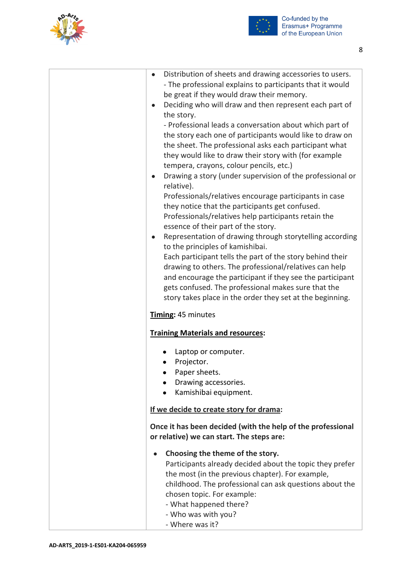



| $\bullet$ | Distribution of sheets and drawing accessories to users.    |
|-----------|-------------------------------------------------------------|
|           | - The professional explains to participants that it would   |
|           | be great if they would draw their memory.                   |
| $\bullet$ | Deciding who will draw and then represent each part of      |
|           | the story.                                                  |
|           | - Professional leads a conversation about which part of     |
|           | the story each one of participants would like to draw on    |
|           | the sheet. The professional asks each participant what      |
|           | they would like to draw their story with (for example       |
|           | tempera, crayons, colour pencils, etc.)                     |
| $\bullet$ | Drawing a story (under supervision of the professional or   |
|           | relative).                                                  |
|           | Professionals/relatives encourage participants in case      |
|           | they notice that the participants get confused.             |
|           | Professionals/relatives help participants retain the        |
|           | essence of their part of the story.                         |
| $\bullet$ | Representation of drawing through storytelling according    |
|           | to the principles of kamishibai.                            |
|           | Each participant tells the part of the story behind their   |
|           | drawing to others. The professional/relatives can help      |
|           | and encourage the participant if they see the participant   |
|           |                                                             |
|           | gets confused. The professional makes sure that the         |
|           | story takes place in the order they set at the beginning.   |
|           | Timing: 45 minutes                                          |
|           |                                                             |
|           | <b>Training Materials and resources:</b>                    |
|           | Laptop or computer.                                         |
|           | Projector.                                                  |
|           | Paper sheets.                                               |
|           | Drawing accessories.                                        |
|           | Kamishibai equipment.                                       |
|           |                                                             |
|           | If we decide to create story for drama:                     |
|           |                                                             |
|           | Once it has been decided (with the help of the professional |
|           | or relative) we can start. The steps are:                   |
|           | Choosing the theme of the story.                            |
|           | Participants already decided about the topic they prefer    |
|           | the most (in the previous chapter). For example,            |
|           | childhood. The professional can ask questions about the     |
|           | chosen topic. For example:                                  |
|           | - What happened there?                                      |
|           | - Who was with you?                                         |
|           | - Where was it?                                             |
|           |                                                             |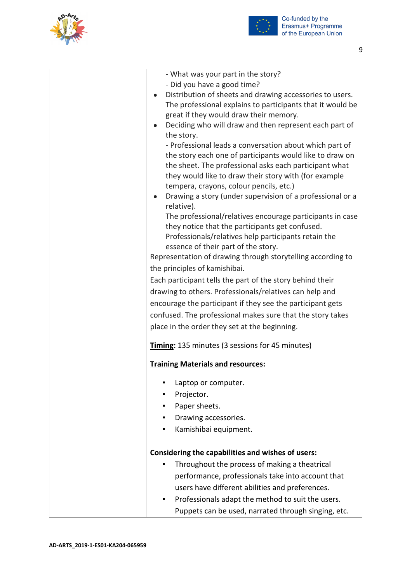



| - What was your part in the story?<br>- Did you have a good time?<br>Distribution of sheets and drawing accessories to users.<br>The professional explains to participants that it would be<br>great if they would draw their memory.<br>Deciding who will draw and then represent each part of<br>the story.<br>- Professional leads a conversation about which part of<br>the story each one of participants would like to draw on<br>the sheet. The professional asks each participant what<br>they would like to draw their story with (for example<br>tempera, crayons, colour pencils, etc.)                                                                  |
|---------------------------------------------------------------------------------------------------------------------------------------------------------------------------------------------------------------------------------------------------------------------------------------------------------------------------------------------------------------------------------------------------------------------------------------------------------------------------------------------------------------------------------------------------------------------------------------------------------------------------------------------------------------------|
| Drawing a story (under supervision of a professional or a<br>$\bullet$<br>relative).                                                                                                                                                                                                                                                                                                                                                                                                                                                                                                                                                                                |
| The professional/relatives encourage participants in case<br>they notice that the participants get confused.<br>Professionals/relatives help participants retain the<br>essence of their part of the story.<br>Representation of drawing through storytelling according to<br>the principles of kamishibai.<br>Each participant tells the part of the story behind their<br>drawing to others. Professionals/relatives can help and<br>encourage the participant if they see the participant gets<br>confused. The professional makes sure that the story takes<br>place in the order they set at the beginning.<br>Timing: 135 minutes (3 sessions for 45 minutes) |
| <b>Training Materials and resources:</b>                                                                                                                                                                                                                                                                                                                                                                                                                                                                                                                                                                                                                            |
| Laptop or computer.<br>Projector.<br>Paper sheets.<br>Drawing accessories.<br>٠<br>Kamishibai equipment.<br>٠                                                                                                                                                                                                                                                                                                                                                                                                                                                                                                                                                       |
| Considering the capabilities and wishes of users:<br>Throughout the process of making a theatrical<br>performance, professionals take into account that<br>users have different abilities and preferences.<br>Professionals adapt the method to suit the users.<br>Puppets can be used, narrated through singing, etc.                                                                                                                                                                                                                                                                                                                                              |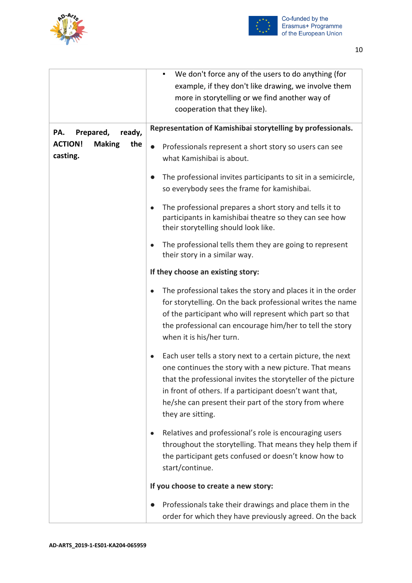



|                                                                                  | We don't force any of the users to do anything (for<br>example, if they don't like drawing, we involve them<br>more in storytelling or we find another way of<br>cooperation that they like).                                                                                                                                  |
|----------------------------------------------------------------------------------|--------------------------------------------------------------------------------------------------------------------------------------------------------------------------------------------------------------------------------------------------------------------------------------------------------------------------------|
| Prepared,<br>PA.<br>ready,<br><b>ACTION!</b><br><b>Making</b><br>the<br>casting. | Representation of Kamishibai storytelling by professionals.<br>Professionals represent a short story so users can see<br>$\bullet$<br>what Kamishibai is about.                                                                                                                                                                |
|                                                                                  | The professional invites participants to sit in a semicircle,<br>so everybody sees the frame for kamishibai.                                                                                                                                                                                                                   |
|                                                                                  | The professional prepares a short story and tells it to<br>participants in kamishibai theatre so they can see how<br>their storytelling should look like.                                                                                                                                                                      |
|                                                                                  | The professional tells them they are going to represent<br>their story in a similar way.                                                                                                                                                                                                                                       |
|                                                                                  | If they choose an existing story:                                                                                                                                                                                                                                                                                              |
|                                                                                  | The professional takes the story and places it in the order<br>for storytelling. On the back professional writes the name<br>of the participant who will represent which part so that<br>the professional can encourage him/her to tell the story<br>when it is his/her turn.                                                  |
|                                                                                  | Each user tells a story next to a certain picture, the next<br>one continues the story with a new picture. That means<br>that the professional invites the storyteller of the picture<br>in front of others. If a participant doesn't want that,<br>he/she can present their part of the story from where<br>they are sitting. |
|                                                                                  | Relatives and professional's role is encouraging users<br>throughout the storytelling. That means they help them if<br>the participant gets confused or doesn't know how to<br>start/continue.                                                                                                                                 |
|                                                                                  | If you choose to create a new story:                                                                                                                                                                                                                                                                                           |
|                                                                                  | Professionals take their drawings and place them in the<br>order for which they have previously agreed. On the back                                                                                                                                                                                                            |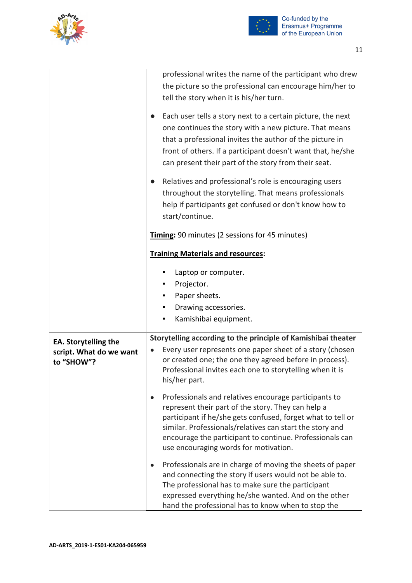



|                             | professional writes the name of the participant who drew      |
|-----------------------------|---------------------------------------------------------------|
|                             | the picture so the professional can encourage him/her to      |
|                             | tell the story when it is his/her turn.                       |
|                             |                                                               |
|                             | Each user tells a story next to a certain picture, the next   |
|                             | one continues the story with a new picture. That means        |
|                             | that a professional invites the author of the picture in      |
|                             | front of others. If a participant doesn't want that, he/she   |
|                             | can present their part of the story from their seat.          |
|                             |                                                               |
|                             | Relatives and professional's role is encouraging users        |
|                             | throughout the storytelling. That means professionals         |
|                             | help if participants get confused or don't know how to        |
|                             | start/continue.                                               |
|                             | Timing: 90 minutes (2 sessions for 45 minutes)                |
|                             |                                                               |
|                             | <b>Training Materials and resources:</b>                      |
|                             | Laptop or computer.                                           |
|                             | Projector.<br>٠                                               |
|                             | Paper sheets.                                                 |
|                             | Drawing accessories.<br>٠                                     |
|                             |                                                               |
|                             | Kamishibai equipment.<br>٠                                    |
| <b>EA. Storytelling the</b> | Storytelling according to the principle of Kamishibai theater |
| script. What do we want     | Every user represents one paper sheet of a story (chosen      |
| to "SHOW"?                  | or created one; the one they agreed before in process).       |
|                             | Professional invites each one to storytelling when it is      |
|                             | his/her part.                                                 |
|                             | Professionals and relatives encourage participants to         |
|                             | represent their part of the story. They can help a            |
|                             | participant if he/she gets confused, forget what to tell or   |
|                             | similar. Professionals/relatives can start the story and      |
|                             | encourage the participant to continue. Professionals can      |
|                             | use encouraging words for motivation.                         |
|                             | Professionals are in charge of moving the sheets of paper     |
|                             | and connecting the story if users would not be able to.       |
|                             | The professional has to make sure the participant             |
|                             | expressed everything he/she wanted. And on the other          |
|                             | hand the professional has to know when to stop the            |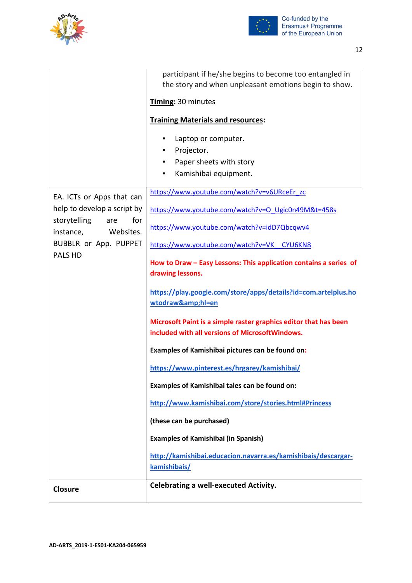



|                                               | participant if he/she begins to become too entangled in                                                             |
|-----------------------------------------------|---------------------------------------------------------------------------------------------------------------------|
|                                               | the story and when unpleasant emotions begin to show.                                                               |
|                                               | Timing: 30 minutes                                                                                                  |
|                                               | <b>Training Materials and resources:</b>                                                                            |
|                                               | Laptop or computer.<br>٠                                                                                            |
|                                               | Projector.<br>m.                                                                                                    |
|                                               | Paper sheets with story                                                                                             |
|                                               | Kamishibai equipment.<br>$\blacksquare$                                                                             |
| EA. ICTs or Apps that can                     | https://www.youtube.com/watch?v=v6URceEr_zc                                                                         |
| help to develop a script by<br>for            | https://www.youtube.com/watch?v=O Ugic0n49M&t=458s                                                                  |
| storytelling<br>are<br>instance,<br>Websites. | https://www.youtube.com/watch?v=idD7Qbcqwv4                                                                         |
| BUBBLR or App. PUPPET<br>PALS HD              | https://www.youtube.com/watch?v=VK CYU6KN8                                                                          |
|                                               | How to Draw - Easy Lessons: This application contains a series of                                                   |
|                                               | drawing lessons.                                                                                                    |
|                                               | https://play.google.com/store/apps/details?id=com.artelplus.ho<br>wtodraw&hl=en                                     |
|                                               | Microsoft Paint is a simple raster graphics editor that has been<br>included with all versions of MicrosoftWindows. |
|                                               | Examples of Kamishibai pictures can be found on:                                                                    |
|                                               | https://www.pinterest.es/hrgarey/kamishibai/                                                                        |
|                                               | Examples of Kamishibai tales can be found on:                                                                       |
|                                               | http://www.kamishibai.com/store/stories.html#Princess                                                               |
|                                               | (these can be purchased)                                                                                            |
|                                               | <b>Examples of Kamishibai (in Spanish)</b>                                                                          |
|                                               | http://kamishibai.educacion.navarra.es/kamishibais/descargar-                                                       |
|                                               | kamishibais/                                                                                                        |
| <b>Closure</b>                                | <b>Celebrating a well-executed Activity.</b>                                                                        |